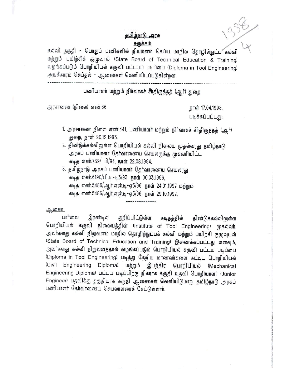## தமிழ்நாடு அரசு <u>சுருக்கம்</u>

8<u>iGiliplin @ அரசு தமிழ்நாடு அரசு முதலில் தமிழ்நாடு அரசு முதல் தமிழ்நாடு அரசு முதல் தொழில்நுட்ப கல்வி முதல் தொழில் தாழில் தாழில் நுட்ப கல்வி முதல் தொழில் நுட்ப கல்வி முதலை தொழில் நுட்ப கல்வி முதலை தொழில் நுட்ப கல்வி முதலை</u> மற்றும் பயிற்சிக் குழுவால் (State Board of Technical Education & Training) வழங்கப்படும் பொறியியல் கருவி பட்டயப் படிப்பை (Diploma in Tool Engineering) அங்கீகாரம் செய்தல் - ஆணைகள் வெளியிடப்படுகின்றன.

## பணியாளர் மற்றும் நிர்வாகச் சீர்திருத்தத் (ஆர்) துறை

**--------------------------------------------------------------------------------------**

அரசாணை (நிலை) எண்.86

நாள் 17.04.1998. படிக்கப்பட்டது:

> ~ , i .,

- 1. அரசாணை நிலை எண்.441, பணியாளர் மற்றும் நிர்வாகச் சீர்திருத்தத் (ஆர்) துறை, நாள் 20.12.1993.
- 2. திண்டுக்கல்லிலுள்ள பொறியியல் கல்வி நிலைய முதல்வரது தமிழ்நாடு அரசுப் பணியாளர் தேர்வாணைய செயலருக்கு முகவரியிட்ட கடித எண்.739/ பி/94, நாள் 22.08.1994.
- 3. தமிழ்நாடு அரசுப் பணியாளர் தேர்வாணைய செயலரது 8i1lj.~ or6lir.6190/Ul.1lj. *-1lj.3/93.* )Jirrar 06.03.1996, கடித எண்.5486/ஆர்.என்.டி-ஏ5/96, நாள் 24.01.1997 மற்றும் 8i1lj.~ *or6lir.5486/~ir.or~.1lj. -G)'5/96,* )Jirrar 29.10.1997.

<u>ஆணை:</u>

பார்வை இரண்டில் குறிப்பிட்டுள்ள கடிதத்தில் திண்டுக்கல்லிலுள்ள பொறியியல் கருவி நிலையத்தின் (Institute of Tool Engineering) முதல்வா், அவர்களது கல்வி நிறுவனம் மாநில தொழிற்நுட்பக் கல்வி மற்றும் பயிற்சி குழுவுடன் (State Board of Technical Education and Training) இணைக்கப்பட்டது எனவும், அவர்களது கல்வி நிறுவனத்தால் வழங்கப்படும் பொறியியல் கருவி பட்டய படிப்பை (Diploma in Tool Engineering) படித்து தேறிய மாணவர்களை கட்டிட பொறியியல் (Civil Engineering Diploma) மற்றும் இயந்திர பொறியியல் (Mechanical Engineering Diploma) பட்டய படிப்பிற்கு நிகராக கருதி உதவி பொறியாளர் (Junior Engineer) பதவிக்கு தகுதியாக கருதி ஆணைகள் வெளியிடுமாறு தமிழ்நாடு அரசுப் பணியாளர் தேர்வாணைய செயலாளரைக் கேட்டுள்ளார்.